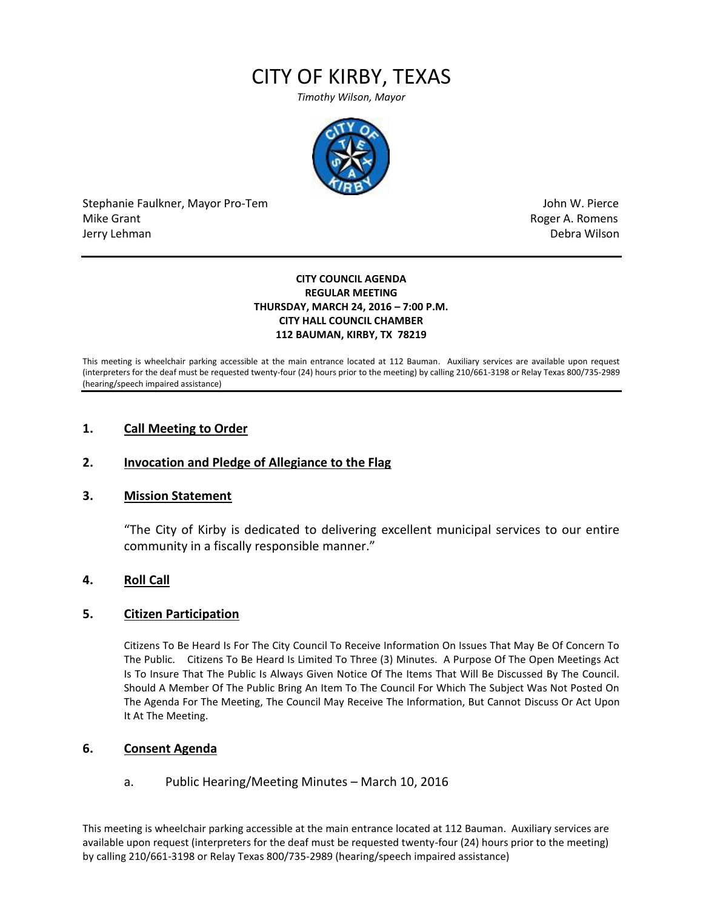# CITY OF KIRBY, TEXAS

*Timothy Wilson, Mayor*



Stephanie Faulkner, Mayor Pro-Tem John W. Pierce Mike Grant **Mike Grant** Roger A. Romens and Allen Roger A. Romens and Allen Roger A. Romens and Allen Roger A. Romens and Allen Roger A. Romens and Allen Roger A. Romens and Allen Roger A. Romens and Allen Roger A. Romens Jerry Lehman Debra Wilson (2008) and the state of the state of the state of the state of the state of the state of the state of the state of the state of the state of the state of the state of the state of the state of the

#### **CITY COUNCIL AGENDA REGULAR MEETING THURSDAY, MARCH 24, 2016 – 7:00 P.M. CITY HALL COUNCIL CHAMBER 112 BAUMAN, KIRBY, TX 78219**

This meeting is wheelchair parking accessible at the main entrance located at 112 Bauman. Auxiliary services are available upon request (interpreters for the deaf must be requested twenty-four (24) hours prior to the meeting) by calling 210/661-3198 or Relay Texas 800/735-2989 (hearing/speech impaired assistance)

## **1. Call Meeting to Order**

#### **2. Invocation and Pledge of Allegiance to the Flag**

#### **3. Mission Statement**

"The City of Kirby is dedicated to delivering excellent municipal services to our entire community in a fiscally responsible manner."

### **4. Roll Call**

#### **5. Citizen Participation**

Citizens To Be Heard Is For The City Council To Receive Information On Issues That May Be Of Concern To The Public. Citizens To Be Heard Is Limited To Three (3) Minutes. A Purpose Of The Open Meetings Act Is To Insure That The Public Is Always Given Notice Of The Items That Will Be Discussed By The Council. Should A Member Of The Public Bring An Item To The Council For Which The Subject Was Not Posted On The Agenda For The Meeting, The Council May Receive The Information, But Cannot Discuss Or Act Upon It At The Meeting.

#### **6. Consent Agenda**

#### a. Public Hearing/Meeting Minutes – March 10, 2016

This meeting is wheelchair parking accessible at the main entrance located at 112 Bauman. Auxiliary services are available upon request (interpreters for the deaf must be requested twenty-four (24) hours prior to the meeting) by calling 210/661-3198 or Relay Texas 800/735-2989 (hearing/speech impaired assistance)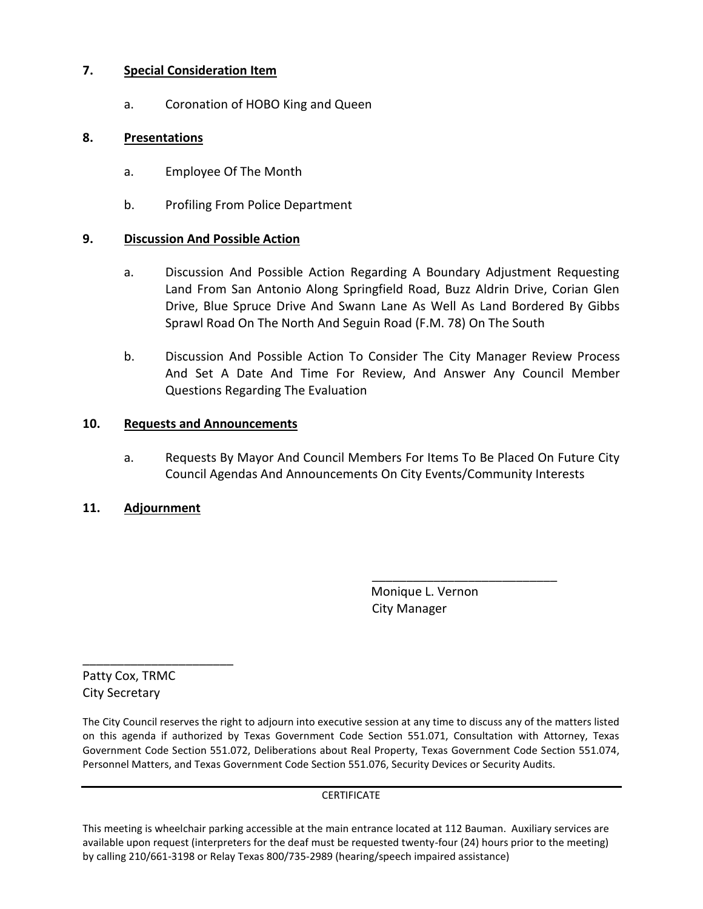## **7. Special Consideration Item**

a. Coronation of HOBO King and Queen

## **8. Presentations**

- a. Employee Of The Month
- b. Profiling From Police Department

## **9. Discussion And Possible Action**

- a. Discussion And Possible Action Regarding A Boundary Adjustment Requesting Land From San Antonio Along Springfield Road, Buzz Aldrin Drive, Corian Glen Drive, Blue Spruce Drive And Swann Lane As Well As Land Bordered By Gibbs Sprawl Road On The North And Seguin Road (F.M. 78) On The South
- b. Discussion And Possible Action To Consider The City Manager Review Process And Set A Date And Time For Review, And Answer Any Council Member Questions Regarding The Evaluation

## **10. Requests and Announcements**

a. Requests By Mayor And Council Members For Items To Be Placed On Future City Council Agendas And Announcements On City Events/Community Interests

## **11. Adjournment**

 Monique L. Vernon City Manager

\_\_\_\_\_\_\_\_\_\_\_\_\_\_\_\_\_\_\_\_\_\_\_\_\_\_\_

Patty Cox, TRMC City Secretary

\_\_\_\_\_\_\_\_\_\_\_\_\_\_\_\_\_\_\_\_\_\_

The City Council reserves the right to adjourn into executive session at any time to discuss any of the matters listed on this agenda if authorized by Texas Government Code Section 551.071, Consultation with Attorney, Texas Government Code Section 551.072, Deliberations about Real Property, Texas Government Code Section 551.074, Personnel Matters, and Texas Government Code Section 551.076, Security Devices or Security Audits.

**CERTIFICATE** 

This meeting is wheelchair parking accessible at the main entrance located at 112 Bauman. Auxiliary services are available upon request (interpreters for the deaf must be requested twenty-four (24) hours prior to the meeting) by calling 210/661-3198 or Relay Texas 800/735-2989 (hearing/speech impaired assistance)